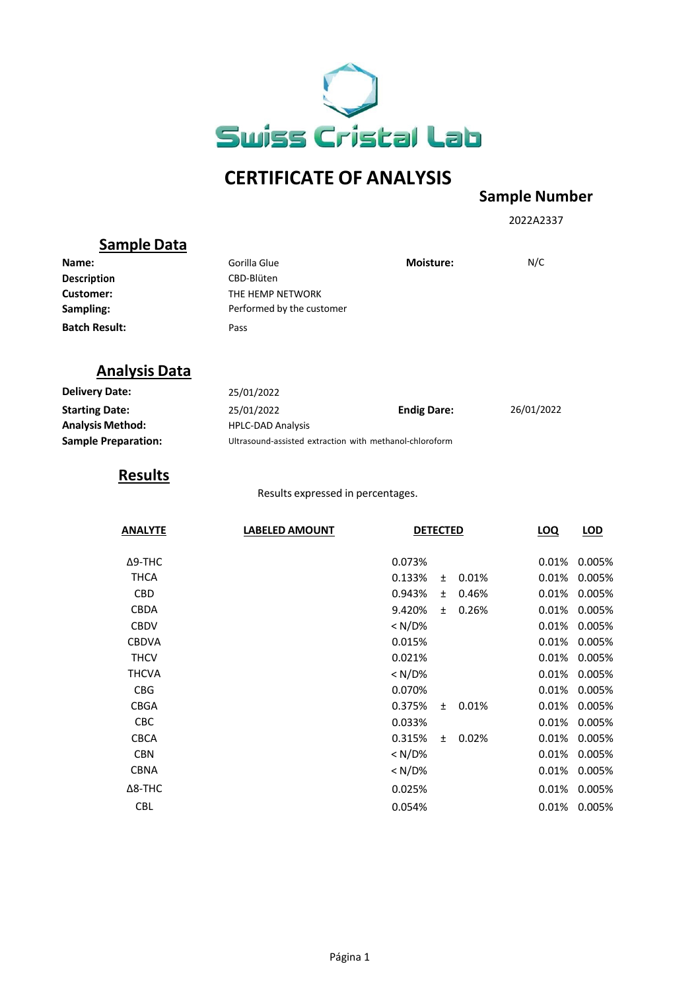

## **CERTIFICATE OF ANALYSIS**

## **Sample Number**

2022A2337

|                            |                                                         |                    |       |       | 20220237   |              |
|----------------------------|---------------------------------------------------------|--------------------|-------|-------|------------|--------------|
| <b>Sample Data</b>         |                                                         |                    |       |       |            |              |
| Name:                      | Gorilla Glue                                            | Moisture:          |       |       | N/C        |              |
| <b>Description</b>         | CBD-Blüten                                              |                    |       |       |            |              |
| Customer:                  | THE HEMP NETWORK                                        |                    |       |       |            |              |
| Sampling:                  | Performed by the customer                               |                    |       |       |            |              |
| <b>Batch Result:</b>       | Pass                                                    |                    |       |       |            |              |
| <b>Analysis Data</b>       |                                                         |                    |       |       |            |              |
| <b>Delivery Date:</b>      | 25/01/2022                                              |                    |       |       |            |              |
| <b>Starting Date:</b>      | 25/01/2022                                              | <b>Endig Dare:</b> |       |       | 26/01/2022 |              |
| <b>Analysis Method:</b>    | <b>HPLC-DAD Analysis</b>                                |                    |       |       |            |              |
| <b>Sample Preparation:</b> | Ultrasound-assisted extraction with methanol-chloroform |                    |       |       |            |              |
| <b>Results</b>             |                                                         |                    |       |       |            |              |
|                            | Results expressed in percentages.                       |                    |       |       |            |              |
| <b>ANALYTE</b>             | <b>LABELED AMOUNT</b>                                   | <b>DETECTED</b>    |       |       | LOQ        | LOD          |
| $\Delta$ 9-THC             |                                                         | 0.073%             |       |       | 0.01%      | 0.005%       |
| <b>THCA</b>                |                                                         | 0.133%             | $\pm$ | 0.01% | 0.01%      | 0.005%       |
| CBD                        |                                                         | 0.943%             | ±.    | 0.46% | 0.01%      | 0.005%       |
| CBDA                       |                                                         | 9.420%             | ±.    | 0.26% | 0.01%      | 0.005%       |
| <b>CBDV</b>                |                                                         | < N/D%             |       |       | 0.01%      | 0.005%       |
| <b>CBDVA</b>               |                                                         | 0.015%             |       |       | 0.01%      | 0.005%       |
| <b>THCV</b>                |                                                         | 0.021%             |       |       | 0.01%      | 0.005%       |
| <b>THCVA</b>               |                                                         | $< N/D\%$          |       |       | 0.01%      | 0.005%       |
| <b>CBG</b>                 |                                                         | 0.070%             |       |       | 0.01%      | 0.005%       |
| <b>CBGA</b>                |                                                         | 0.375%             | ±.    | 0.01% | 0.01%      | 0.005%       |
| CBC                        |                                                         | 0.033%             |       |       | 0.01%      | 0.005%       |
| CBCA                       |                                                         | 0.315%             | $\pm$ | 0.02% | 0.01%      | 0.005%       |
| <b>CBN</b>                 |                                                         | $< N/D$ %          |       |       | $0.01\%$   | 0.005%       |
| <b>CBNA</b>                |                                                         | < N/D%             |       |       | 0.01%      | 0.005%       |
| $\Delta$ 8-THC             |                                                         | 0.025%             |       |       | 0.01%      | 0.005%       |
| <b>CBL</b>                 |                                                         | 0.054%             |       |       |            | 0.01% 0.005% |